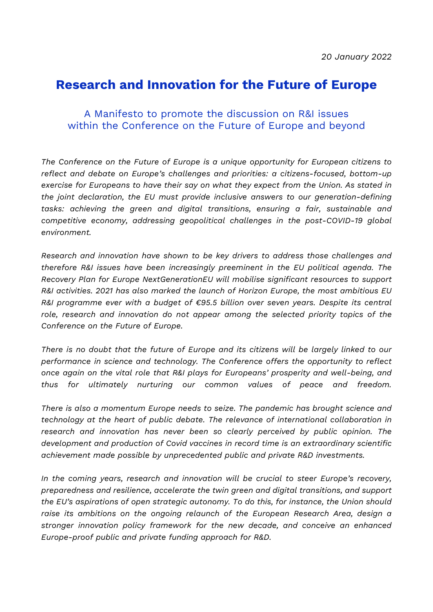## **Research and Innovation for the Future of Europe**

## A Manifesto to promote the discussion on R&I issues within the Conference on the Future of Europe and beyond

*The Conference on the Future of Europe is a unique opportunity for European citizens to reflect and debate on Europe's challenges and priorities: a citizens-focused, bottom-up exercise for Europeans to have their say on what they expect from the Union. As stated in the joint declaration, the EU must provide inclusive answers to our generation-defining tasks: achieving the green and digital transitions, ensuring a fair, sustainable and competitive economy, addressing geopolitical challenges in the post-COVID-19 global environment.*

*Research and innovation have shown to be key drivers to address those challenges and therefore R&I issues have been increasingly preeminent in the EU political agenda. The Recovery Plan for Europe NextGenerationEU will mobilise significant resources to support R&I activities. 2021 has also marked the launch of Horizon Europe, the most ambitious EU R&I programme ever with a budget of €95.5 billion over seven years. Despite its central role, research and innovation do not appear among the selected priority topics of the Conference on the Future of Europe.*

*There is no doubt that the future of Europe and its citizens will be largely linked to our performance in science and technology. The Conference offers the opportunity to reflect once again on the vital role that R&I plays for Europeans' prosperity and well-being, and thus for ultimately nurturing our common values of peace and freedom.*

*There is also a momentum Europe needs to seize. The pandemic has brought science and technology at the heart of public debate. The relevance of international collaboration in research and innovation has never been so clearly perceived by public opinion. The development and production of Covid vaccines in record time is an extraordinary scientific achievement made possible by unprecedented public and private R&D investments.*

*In the coming years, research and innovation will be crucial to steer Europe's recovery, preparedness and resilience, accelerate the twin green and digital transitions, and support the EU's aspirations of open strategic autonomy. To do this, for instance, the Union should raise its ambitions on the ongoing relaunch of the European Research Area, design a stronger innovation policy framework for the new decade, and conceive an enhanced Europe-proof public and private funding approach for R&D.*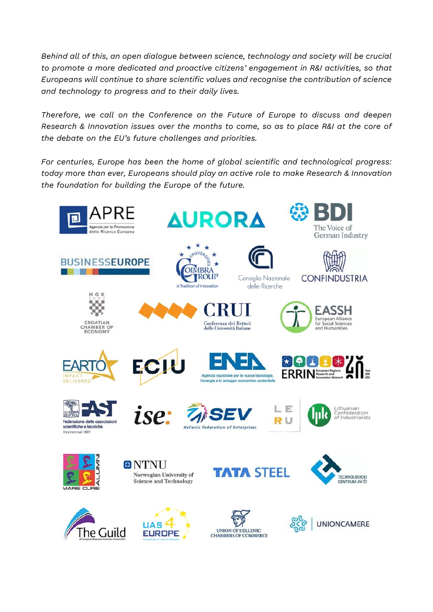*Behind all of this, an open dialogue between science, technology and society will be crucial to promote a more dedicated and proactive citizens' engagement in R&I activities, so that Europeans will continue to share scientific values and recognise the contribution of science and technology to progress and to their daily lives.*

*Therefore, we call on the Conference on the Future of Europe to discuss and deepen Research & Innovation issues over the months to come, so as to place R&I at the core of the debate on the EU's future challenges and priorities.*

*For centuries, Europe has been the home of global scientific and technological progress: today more than ever, Europeans should play an active role to make Research & Innovation the foundation for building the Europe of the future.*

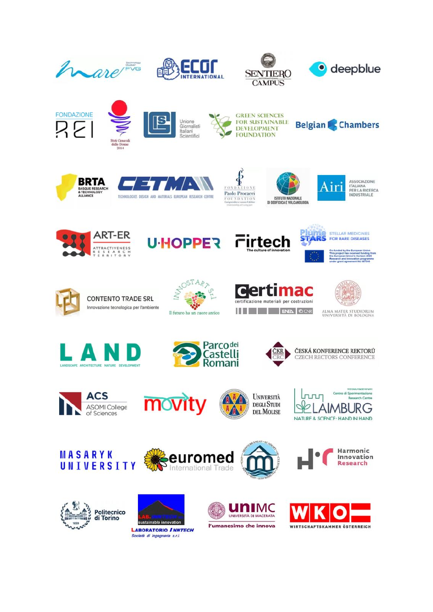